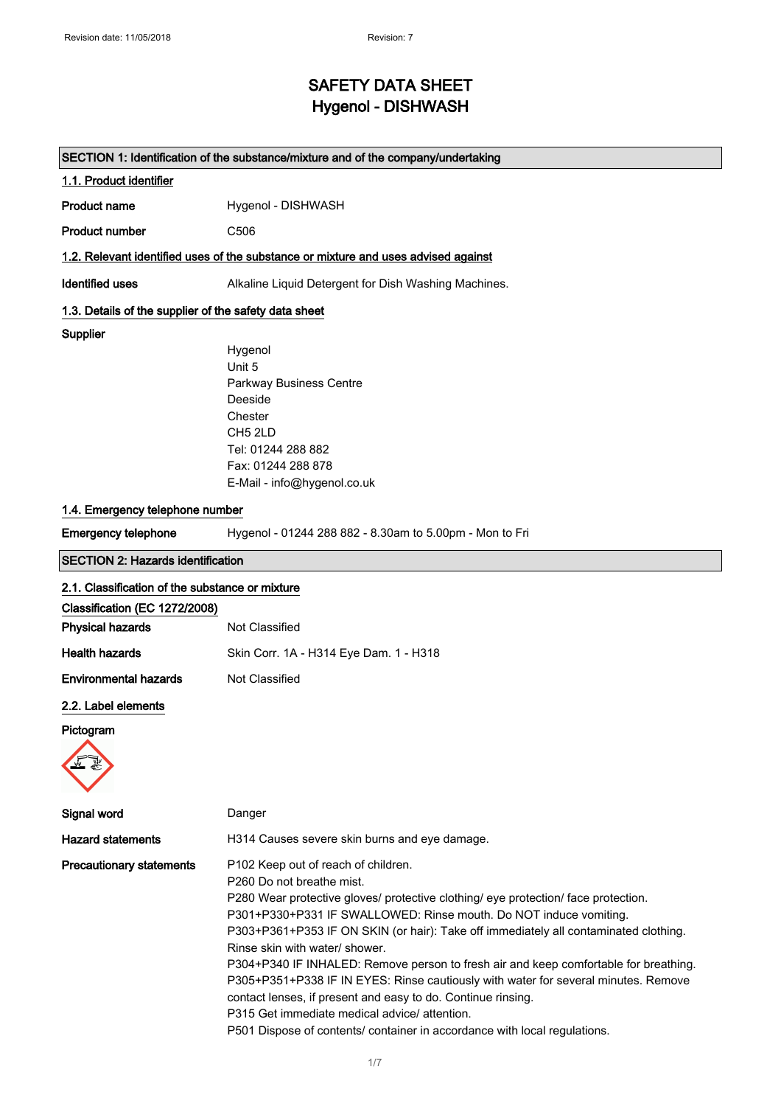## SAFETY DATA SHEET Hygenol - DISHWASH

|                                                       | SECTION 1: Identification of the substance/mixture and of the company/undertaking                                                                                                                                                                                                                                                                                                                                                                                                                                                                                                                                                                                                                                                |
|-------------------------------------------------------|----------------------------------------------------------------------------------------------------------------------------------------------------------------------------------------------------------------------------------------------------------------------------------------------------------------------------------------------------------------------------------------------------------------------------------------------------------------------------------------------------------------------------------------------------------------------------------------------------------------------------------------------------------------------------------------------------------------------------------|
| 1.1. Product identifier                               |                                                                                                                                                                                                                                                                                                                                                                                                                                                                                                                                                                                                                                                                                                                                  |
| <b>Product name</b>                                   | Hygenol - DISHWASH                                                                                                                                                                                                                                                                                                                                                                                                                                                                                                                                                                                                                                                                                                               |
| <b>Product number</b>                                 | C506                                                                                                                                                                                                                                                                                                                                                                                                                                                                                                                                                                                                                                                                                                                             |
|                                                       | 1.2. Relevant identified uses of the substance or mixture and uses advised against                                                                                                                                                                                                                                                                                                                                                                                                                                                                                                                                                                                                                                               |
| <b>Identified uses</b>                                | Alkaline Liquid Detergent for Dish Washing Machines.                                                                                                                                                                                                                                                                                                                                                                                                                                                                                                                                                                                                                                                                             |
| 1.3. Details of the supplier of the safety data sheet |                                                                                                                                                                                                                                                                                                                                                                                                                                                                                                                                                                                                                                                                                                                                  |
| <b>Supplier</b>                                       |                                                                                                                                                                                                                                                                                                                                                                                                                                                                                                                                                                                                                                                                                                                                  |
|                                                       | Hygenol                                                                                                                                                                                                                                                                                                                                                                                                                                                                                                                                                                                                                                                                                                                          |
|                                                       | Unit 5                                                                                                                                                                                                                                                                                                                                                                                                                                                                                                                                                                                                                                                                                                                           |
|                                                       | Parkway Business Centre                                                                                                                                                                                                                                                                                                                                                                                                                                                                                                                                                                                                                                                                                                          |
|                                                       | Deeside                                                                                                                                                                                                                                                                                                                                                                                                                                                                                                                                                                                                                                                                                                                          |
|                                                       | Chester                                                                                                                                                                                                                                                                                                                                                                                                                                                                                                                                                                                                                                                                                                                          |
|                                                       | CH <sub>5</sub> 2LD                                                                                                                                                                                                                                                                                                                                                                                                                                                                                                                                                                                                                                                                                                              |
|                                                       | Tel: 01244 288 882                                                                                                                                                                                                                                                                                                                                                                                                                                                                                                                                                                                                                                                                                                               |
|                                                       | Fax: 01244 288 878                                                                                                                                                                                                                                                                                                                                                                                                                                                                                                                                                                                                                                                                                                               |
|                                                       | E-Mail - info@hygenol.co.uk                                                                                                                                                                                                                                                                                                                                                                                                                                                                                                                                                                                                                                                                                                      |
| 1.4. Emergency telephone number                       |                                                                                                                                                                                                                                                                                                                                                                                                                                                                                                                                                                                                                                                                                                                                  |
| <b>Emergency telephone</b>                            | Hygenol - 01244 288 882 - 8.30am to 5.00pm - Mon to Fri                                                                                                                                                                                                                                                                                                                                                                                                                                                                                                                                                                                                                                                                          |
| <b>SECTION 2: Hazards identification</b>              |                                                                                                                                                                                                                                                                                                                                                                                                                                                                                                                                                                                                                                                                                                                                  |
| 2.1. Classification of the substance or mixture       |                                                                                                                                                                                                                                                                                                                                                                                                                                                                                                                                                                                                                                                                                                                                  |
| Classification (EC 1272/2008)                         |                                                                                                                                                                                                                                                                                                                                                                                                                                                                                                                                                                                                                                                                                                                                  |
| <b>Physical hazards</b>                               | Not Classified                                                                                                                                                                                                                                                                                                                                                                                                                                                                                                                                                                                                                                                                                                                   |
| <b>Health hazards</b>                                 | Skin Corr. 1A - H314 Eye Dam. 1 - H318                                                                                                                                                                                                                                                                                                                                                                                                                                                                                                                                                                                                                                                                                           |
| <b>Environmental hazards</b>                          | Not Classified                                                                                                                                                                                                                                                                                                                                                                                                                                                                                                                                                                                                                                                                                                                   |
| 2.2. Label elements                                   |                                                                                                                                                                                                                                                                                                                                                                                                                                                                                                                                                                                                                                                                                                                                  |
| Pictogram                                             |                                                                                                                                                                                                                                                                                                                                                                                                                                                                                                                                                                                                                                                                                                                                  |
|                                                       |                                                                                                                                                                                                                                                                                                                                                                                                                                                                                                                                                                                                                                                                                                                                  |
|                                                       |                                                                                                                                                                                                                                                                                                                                                                                                                                                                                                                                                                                                                                                                                                                                  |
|                                                       |                                                                                                                                                                                                                                                                                                                                                                                                                                                                                                                                                                                                                                                                                                                                  |
| Signal word                                           | Danger                                                                                                                                                                                                                                                                                                                                                                                                                                                                                                                                                                                                                                                                                                                           |
| <b>Hazard statements</b>                              | H314 Causes severe skin burns and eye damage.                                                                                                                                                                                                                                                                                                                                                                                                                                                                                                                                                                                                                                                                                    |
| <b>Precautionary statements</b>                       | P102 Keep out of reach of children.<br>P260 Do not breathe mist.<br>P280 Wear protective gloves/ protective clothing/ eye protection/ face protection.<br>P301+P330+P331 IF SWALLOWED: Rinse mouth. Do NOT induce vomiting.<br>P303+P361+P353 IF ON SKIN (or hair): Take off immediately all contaminated clothing.<br>Rinse skin with water/ shower.<br>P304+P340 IF INHALED: Remove person to fresh air and keep comfortable for breathing.<br>P305+P351+P338 IF IN EYES: Rinse cautiously with water for several minutes. Remove<br>contact lenses, if present and easy to do. Continue rinsing.<br>P315 Get immediate medical advice/attention.<br>P501 Dispose of contents/ container in accordance with local regulations. |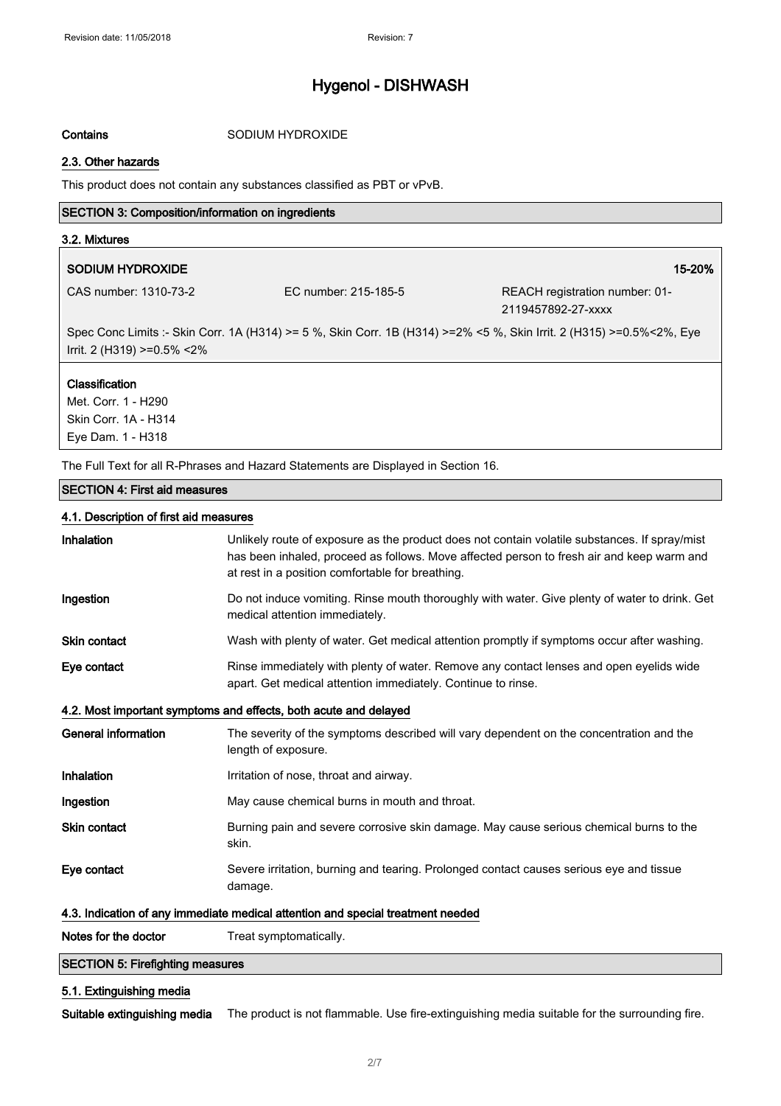Contains SODIUM HYDROXIDE

#### 2.3. Other hazards

This product does not contain any substances classified as PBT or vPvB.

### SECTION 3: Composition/information on ingredients

#### 3.2. Mixtures

### SODIUM HYDROXIDE 15-20% and 15-20% and 15-20% and 15-20% and 15-20% and 15-20% and 15-20% and 15-20% and 15-20

CAS number: 1310-73-2 EC number: 215-185-5 REACH registration number: 01- 2119457892-27-xxxx

Spec Conc Limits :- Skin Corr. 1A (H314) >= 5 %, Skin Corr. 1B (H314) >=2% <5 %, Skin Irrit. 2 (H315) >=0.5%<2%, Eye Irrit. 2 (H319) >=0.5% <2%

#### Classification

Met. Corr. 1 - H290 Skin Corr. 1A - H314 Eye Dam. 1 - H318

The Full Text for all R-Phrases and Hazard Statements are Displayed in Section 16.

#### SECTION 4: First aid measures

### 4.1. Description of first aid measures

| Inhalation                                                                      | Unlikely route of exposure as the product does not contain volatile substances. If spray/mist<br>has been inhaled, proceed as follows. Move affected person to fresh air and keep warm and<br>at rest in a position comfortable for breathing. |
|---------------------------------------------------------------------------------|------------------------------------------------------------------------------------------------------------------------------------------------------------------------------------------------------------------------------------------------|
| Ingestion                                                                       | Do not induce vomiting. Rinse mouth thoroughly with water. Give plenty of water to drink. Get<br>medical attention immediately.                                                                                                                |
| <b>Skin contact</b>                                                             | Wash with plenty of water. Get medical attention promptly if symptoms occur after washing.                                                                                                                                                     |
| Eye contact                                                                     | Rinse immediately with plenty of water. Remove any contact lenses and open eyelids wide<br>apart. Get medical attention immediately. Continue to rinse.                                                                                        |
| 4.2. Most important symptoms and effects, both acute and delayed                |                                                                                                                                                                                                                                                |
| <b>General information</b>                                                      | The severity of the symptoms described will vary dependent on the concentration and the<br>length of exposure.                                                                                                                                 |
| Inhalation                                                                      | Irritation of nose, throat and airway.                                                                                                                                                                                                         |
| Ingestion                                                                       | May cause chemical burns in mouth and throat.                                                                                                                                                                                                  |
| <b>Skin contact</b>                                                             | Burning pain and severe corrosive skin damage. May cause serious chemical burns to the<br>skin.                                                                                                                                                |
| Eye contact                                                                     | Severe irritation, burning and tearing. Prolonged contact causes serious eye and tissue<br>damage.                                                                                                                                             |
| 4.3. Indication of any immediate medical attention and special treatment needed |                                                                                                                                                                                                                                                |
| Notes for the doctor                                                            | Treat symptomatically.                                                                                                                                                                                                                         |
| <b>SECTION 5: Firefighting measures</b>                                         |                                                                                                                                                                                                                                                |

### 5.1. Extinguishing media

Suitable extinguishing media The product is not flammable. Use fire-extinguishing media suitable for the surrounding fire.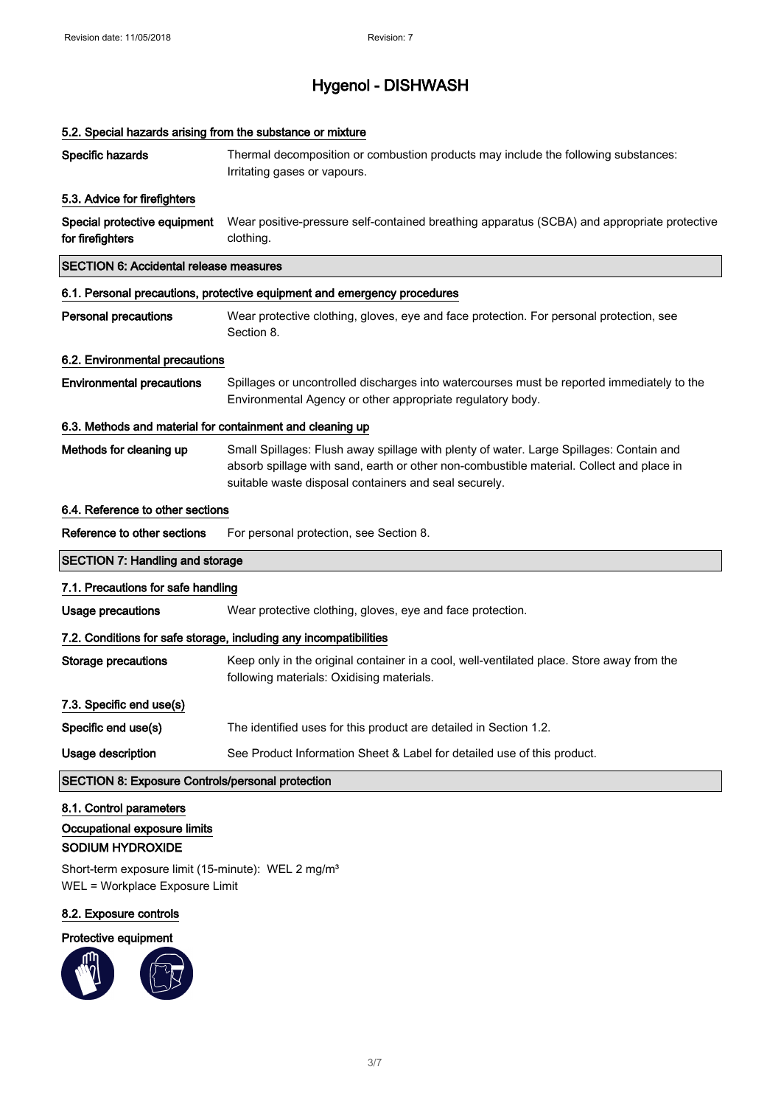| 5.2. Special hazards arising from the substance or mixture                  |                                                                                                                                                                                                                                              |
|-----------------------------------------------------------------------------|----------------------------------------------------------------------------------------------------------------------------------------------------------------------------------------------------------------------------------------------|
| Specific hazards                                                            | Thermal decomposition or combustion products may include the following substances:<br>Irritating gases or vapours.                                                                                                                           |
| 5.3. Advice for firefighters                                                |                                                                                                                                                                                                                                              |
| Special protective equipment<br>for firefighters                            | Wear positive-pressure self-contained breathing apparatus (SCBA) and appropriate protective<br>clothing.                                                                                                                                     |
| <b>SECTION 6: Accidental release measures</b>                               |                                                                                                                                                                                                                                              |
|                                                                             | 6.1. Personal precautions, protective equipment and emergency procedures                                                                                                                                                                     |
| <b>Personal precautions</b>                                                 | Wear protective clothing, gloves, eye and face protection. For personal protection, see<br>Section 8.                                                                                                                                        |
| 6.2. Environmental precautions                                              |                                                                                                                                                                                                                                              |
| <b>Environmental precautions</b>                                            | Spillages or uncontrolled discharges into watercourses must be reported immediately to the<br>Environmental Agency or other appropriate regulatory body.                                                                                     |
| 6.3. Methods and material for containment and cleaning up                   |                                                                                                                                                                                                                                              |
| Methods for cleaning up                                                     | Small Spillages: Flush away spillage with plenty of water. Large Spillages: Contain and<br>absorb spillage with sand, earth or other non-combustible material. Collect and place in<br>suitable waste disposal containers and seal securely. |
| 6.4. Reference to other sections                                            |                                                                                                                                                                                                                                              |
| Reference to other sections                                                 | For personal protection, see Section 8.                                                                                                                                                                                                      |
| <b>SECTION 7: Handling and storage</b>                                      |                                                                                                                                                                                                                                              |
| 7.1. Precautions for safe handling                                          |                                                                                                                                                                                                                                              |
| <b>Usage precautions</b>                                                    | Wear protective clothing, gloves, eye and face protection.                                                                                                                                                                                   |
|                                                                             | 7.2. Conditions for safe storage, including any incompatibilities                                                                                                                                                                            |
| <b>Storage precautions</b>                                                  | Keep only in the original container in a cool, well-ventilated place. Store away from the<br>following materials: Oxidising materials.                                                                                                       |
| 7.3. Specific end use(s)                                                    |                                                                                                                                                                                                                                              |
| Specific end use(s)                                                         | The identified uses for this product are detailed in Section 1.2.                                                                                                                                                                            |
| Usage description                                                           | See Product Information Sheet & Label for detailed use of this product.                                                                                                                                                                      |
| <b>SECTION 8: Exposure Controls/personal protection</b>                     |                                                                                                                                                                                                                                              |
| 8.1. Control parameters<br>Occupational exposure limits<br>SODIUM HYDROXIDE |                                                                                                                                                                                                                                              |

Short-term exposure limit (15-minute): WEL 2 mg/m<sup>3</sup> WEL = Workplace Exposure Limit

### 8.2. Exposure controls

### Protective equipment

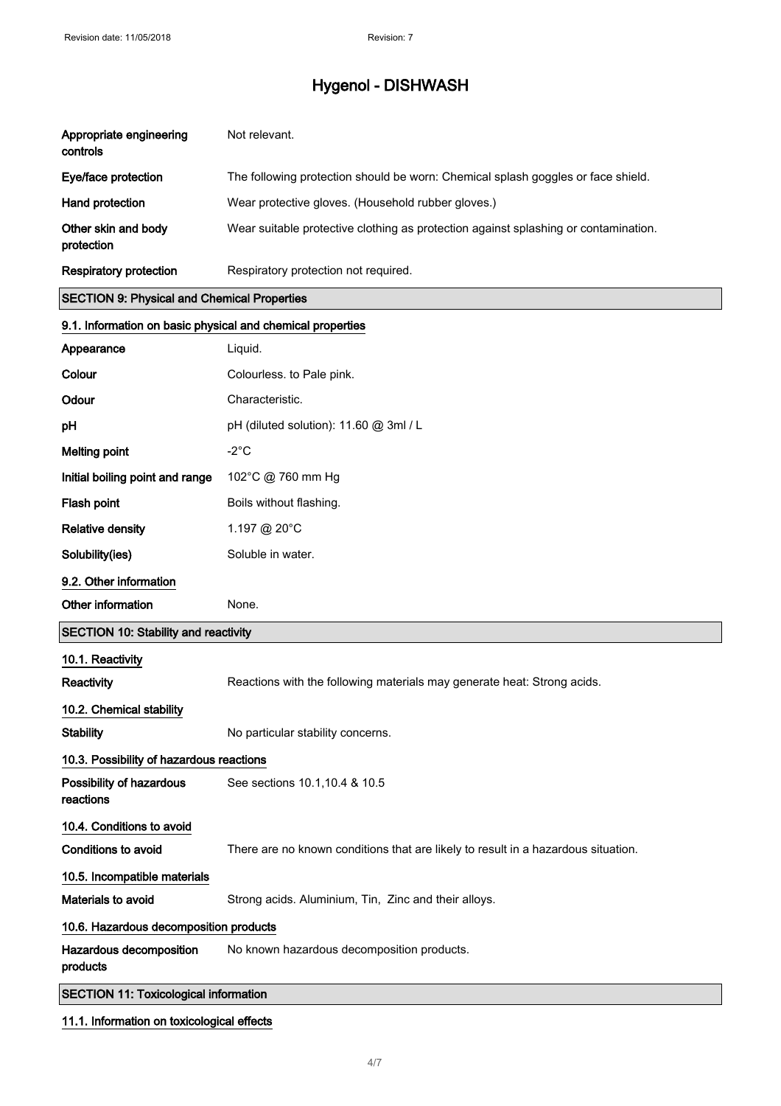| Appropriate engineering<br>controls                        | Not relevant.                                                                       |
|------------------------------------------------------------|-------------------------------------------------------------------------------------|
| Eye/face protection                                        | The following protection should be worn: Chemical splash goggles or face shield.    |
| Hand protection                                            | Wear protective gloves. (Household rubber gloves.)                                  |
| Other skin and body<br>protection                          | Wear suitable protective clothing as protection against splashing or contamination. |
| <b>Respiratory protection</b>                              | Respiratory protection not required.                                                |
| <b>SECTION 9: Physical and Chemical Properties</b>         |                                                                                     |
| 9.1. Information on basic physical and chemical properties |                                                                                     |
| Appearance                                                 | Liquid.                                                                             |
| Colour                                                     | Colourless. to Pale pink.                                                           |
| Odour                                                      | Characteristic.                                                                     |
| pH                                                         | pH (diluted solution): 11.60 @ 3ml / L                                              |
| <b>Melting point</b>                                       | $-2^{\circ}C$                                                                       |
| Initial boiling point and range                            | 102°C @ 760 mm Hg                                                                   |
| Flash point                                                | Boils without flashing.                                                             |
| <b>Relative density</b>                                    | 1.197 @ 20°C                                                                        |
| Solubility(ies)                                            | Soluble in water.                                                                   |
| 9.2. Other information                                     |                                                                                     |
| Other information                                          | None.                                                                               |
| <b>SECTION 10: Stability and reactivity</b>                |                                                                                     |
| 10.1. Reactivity                                           |                                                                                     |
| Reactivity                                                 | Reactions with the following materials may generate heat: Strong acids.             |
| 10.2. Chemical stability                                   |                                                                                     |
| <b>Stability</b>                                           | No particular stability concerns.                                                   |
| 10.3. Possibility of hazardous reactions                   |                                                                                     |
| Possibility of hazardous<br>reactions                      | See sections 10.1, 10.4 & 10.5                                                      |
| 10.4. Conditions to avoid                                  |                                                                                     |
| <b>Conditions to avoid</b>                                 | There are no known conditions that are likely to result in a hazardous situation.   |
| 10.5. Incompatible materials                               |                                                                                     |
| Materials to avoid                                         | Strong acids. Aluminium, Tin, Zinc and their alloys.                                |
| 10.6. Hazardous decomposition products                     |                                                                                     |
| Hazardous decomposition<br>products                        | No known hazardous decomposition products.                                          |
| <b>SECTION 11: Toxicological information</b>               |                                                                                     |
| 11.1. Information on toxicological effects                 |                                                                                     |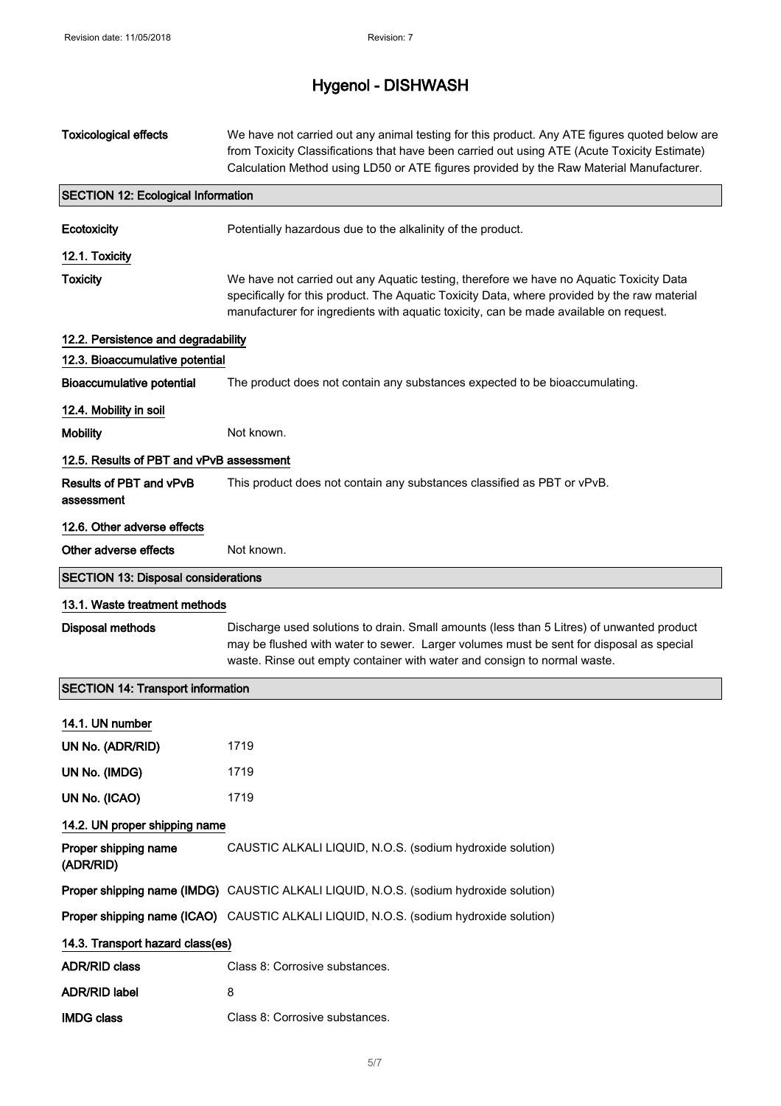# Hygenol - DISHWASH

| <b>Toxicological effects</b>               | We have not carried out any animal testing for this product. Any ATE figures quoted below are<br>from Toxicity Classifications that have been carried out using ATE (Acute Toxicity Estimate)<br>Calculation Method using LD50 or ATE figures provided by the Raw Material Manufacturer. |
|--------------------------------------------|------------------------------------------------------------------------------------------------------------------------------------------------------------------------------------------------------------------------------------------------------------------------------------------|
| <b>SECTION 12: Ecological Information</b>  |                                                                                                                                                                                                                                                                                          |
| Ecotoxicity                                | Potentially hazardous due to the alkalinity of the product.                                                                                                                                                                                                                              |
| 12.1. Toxicity                             |                                                                                                                                                                                                                                                                                          |
| <b>Toxicity</b>                            | We have not carried out any Aquatic testing, therefore we have no Aquatic Toxicity Data<br>specifically for this product. The Aquatic Toxicity Data, where provided by the raw material<br>manufacturer for ingredients with aquatic toxicity, can be made available on request.         |
| 12.2. Persistence and degradability        |                                                                                                                                                                                                                                                                                          |
| 12.3. Bioaccumulative potential            |                                                                                                                                                                                                                                                                                          |
| <b>Bioaccumulative potential</b>           | The product does not contain any substances expected to be bioaccumulating.                                                                                                                                                                                                              |
| 12.4. Mobility in soil                     |                                                                                                                                                                                                                                                                                          |
| <b>Mobility</b>                            | Not known.                                                                                                                                                                                                                                                                               |
| 12.5. Results of PBT and vPvB assessment   |                                                                                                                                                                                                                                                                                          |
| Results of PBT and vPvB<br>assessment      | This product does not contain any substances classified as PBT or vPvB.                                                                                                                                                                                                                  |
| 12.6. Other adverse effects                |                                                                                                                                                                                                                                                                                          |
| Other adverse effects                      | Not known.                                                                                                                                                                                                                                                                               |
| <b>SECTION 13: Disposal considerations</b> |                                                                                                                                                                                                                                                                                          |
| 13.1. Waste treatment methods              |                                                                                                                                                                                                                                                                                          |
| <b>Disposal methods</b>                    | Discharge used solutions to drain. Small amounts (less than 5 Litres) of unwanted product<br>may be flushed with water to sewer. Larger volumes must be sent for disposal as special<br>waste. Rinse out empty container with water and consign to normal waste.                         |
| <b>SECTION 14: Transport information</b>   |                                                                                                                                                                                                                                                                                          |
| 14.1. UN number                            |                                                                                                                                                                                                                                                                                          |
| UN No. (ADR/RID)                           | 1719                                                                                                                                                                                                                                                                                     |
| UN No. (IMDG)                              | 1719                                                                                                                                                                                                                                                                                     |
| UN No. (ICAO)                              | 1719                                                                                                                                                                                                                                                                                     |
| 14.2. UN proper shipping name              |                                                                                                                                                                                                                                                                                          |
| Proper shipping name<br>(ADR/RID)          | CAUSTIC ALKALI LIQUID, N.O.S. (sodium hydroxide solution)                                                                                                                                                                                                                                |
|                                            | Proper shipping name (IMDG) CAUSTIC ALKALI LIQUID, N.O.S. (sodium hydroxide solution)                                                                                                                                                                                                    |
|                                            | Proper shipping name (ICAO) CAUSTIC ALKALI LIQUID, N.O.S. (sodium hydroxide solution)                                                                                                                                                                                                    |
| 14.3. Transport hazard class(es)           |                                                                                                                                                                                                                                                                                          |
| <b>ADR/RID class</b>                       | Class 8: Corrosive substances.                                                                                                                                                                                                                                                           |
| <b>ADR/RID label</b>                       | 8                                                                                                                                                                                                                                                                                        |
| <b>IMDG class</b>                          | Class 8: Corrosive substances.                                                                                                                                                                                                                                                           |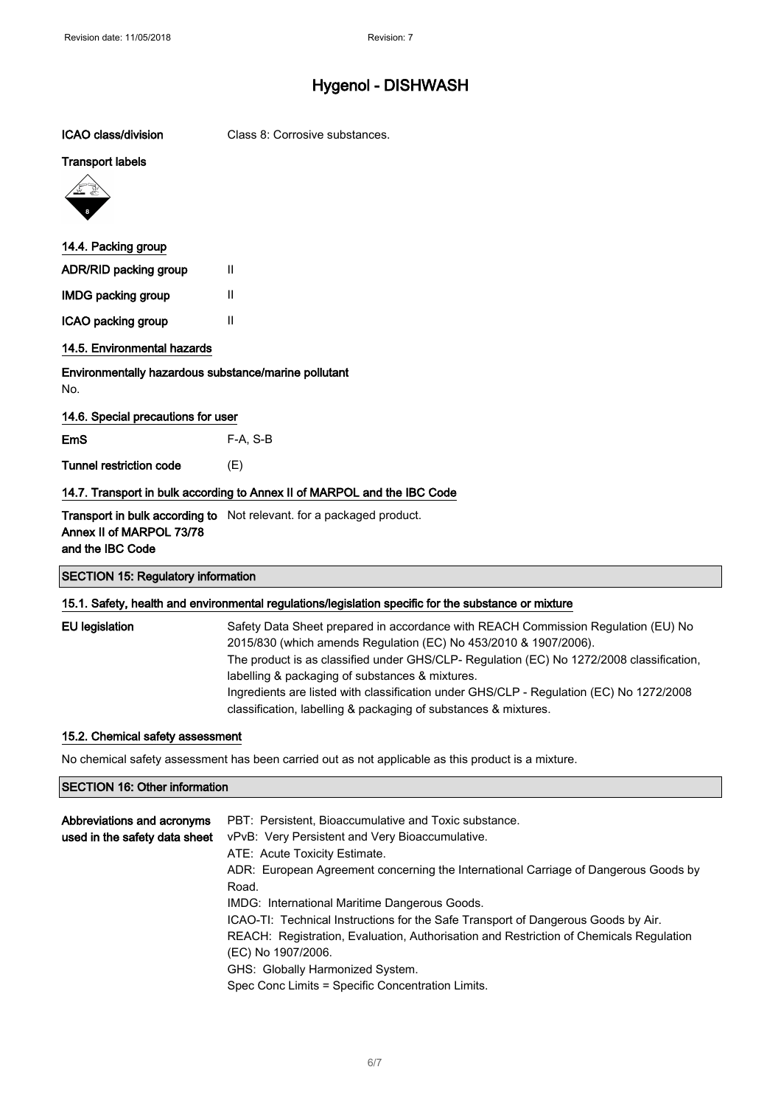| ICAO class/division                                                      | Class 8: Corrosive substances.                                       |
|--------------------------------------------------------------------------|----------------------------------------------------------------------|
| <b>Transport labels</b>                                                  |                                                                      |
|                                                                          |                                                                      |
| 14.4. Packing group                                                      |                                                                      |
| ADR/RID packing group                                                    | Ш                                                                    |
| <b>IMDG packing group</b>                                                | Ш                                                                    |
| ICAO packing group                                                       | $\mathsf{II}$                                                        |
| 14.5. Environmental hazards                                              |                                                                      |
| Environmentally hazardous substance/marine pollutant<br>No.              |                                                                      |
| 14.6. Special precautions for user                                       |                                                                      |
| <b>EmS</b>                                                               | F-A, S-B                                                             |
| <b>Tunnel restriction code</b>                                           | (E)                                                                  |
| 14.7. Transport in bulk according to Annex II of MARPOL and the IBC Code |                                                                      |
| Annex II of MARPOL 73/78<br>and the IBC Code                             | Transport in bulk according to Not relevant. for a packaged product. |
| <b>SECTION 15: Regulatory information</b>                                |                                                                      |

### 15.1. Safety, health and environmental regulations/legislation specific for the substance or mixture

| EU legislation | Safety Data Sheet prepared in accordance with REACH Commission Regulation (EU) No<br>2015/830 (which amends Regulation (EC) No 453/2010 & 1907/2006).<br>The product is as classified under GHS/CLP- Regulation (EC) No 1272/2008 classification,<br>labelling & packaging of substances & mixtures.<br>Ingredients are listed with classification under GHS/CLP - Regulation (EC) No 1272/2008 |
|----------------|-------------------------------------------------------------------------------------------------------------------------------------------------------------------------------------------------------------------------------------------------------------------------------------------------------------------------------------------------------------------------------------------------|
|                | classification, labelling & packaging of substances & mixtures.                                                                                                                                                                                                                                                                                                                                 |

### 15.2. Chemical safety assessment

No chemical safety assessment has been carried out as not applicable as this product is a mixture.

### SECTION 16: Other information

| Abbreviations and acronyms    | PBT: Persistent, Bioaccumulative and Toxic substance.                                  |
|-------------------------------|----------------------------------------------------------------------------------------|
| used in the safety data sheet | vPvB: Very Persistent and Very Bioaccumulative.                                        |
|                               | ATE: Acute Toxicity Estimate.                                                          |
|                               | ADR: European Agreement concerning the International Carriage of Dangerous Goods by    |
|                               | Road.                                                                                  |
|                               | IMDG: International Maritime Dangerous Goods.                                          |
|                               | ICAO-TI: Technical Instructions for the Safe Transport of Dangerous Goods by Air.      |
|                               | REACH: Registration, Evaluation, Authorisation and Restriction of Chemicals Regulation |
|                               | (EC) No 1907/2006.                                                                     |
|                               | GHS: Globally Harmonized System.                                                       |
|                               | Spec Conc Limits = Specific Concentration Limits.                                      |